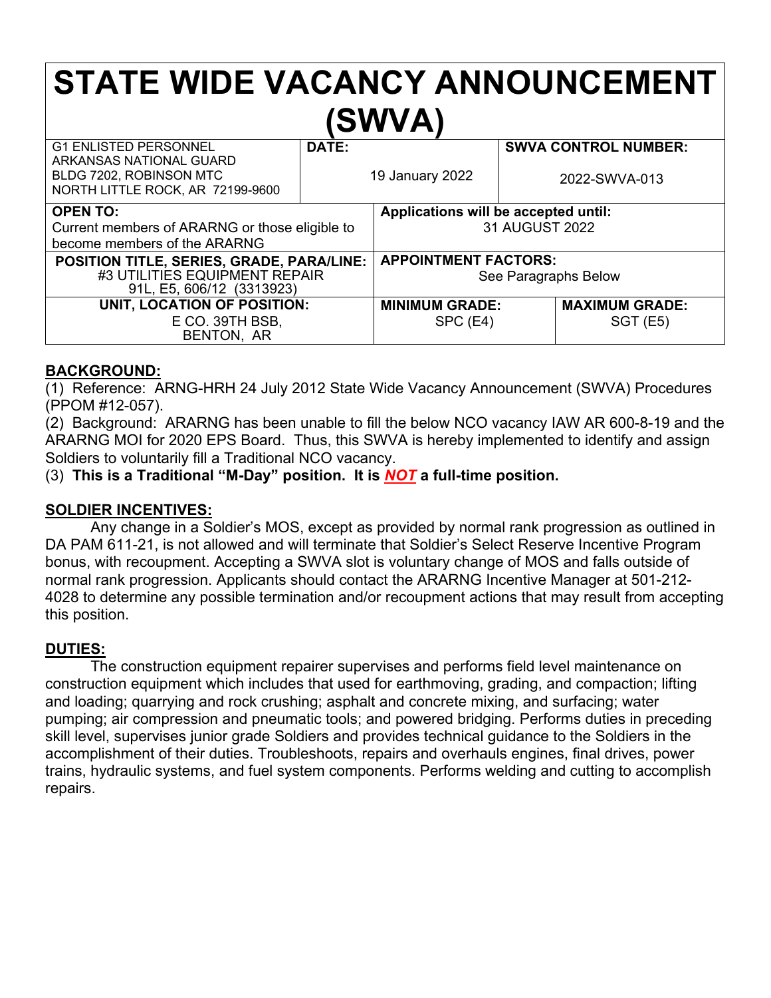# **STATE WIDE VACANCY ANNOUNCEMENT (SWVA)**

| <b>G1 ENLISTED PERSONNEL</b>                                                                            | DATE: |                                                     | <b>SWVA CONTROL NUMBER:</b> |
|---------------------------------------------------------------------------------------------------------|-------|-----------------------------------------------------|-----------------------------|
| ARKANSAS NATIONAL GUARD<br>BLDG 7202, ROBINSON MTC<br>NORTH LITTLE ROCK, AR 72199-9600                  |       | 19 January 2022                                     | 2022-SWVA-013               |
| <b>OPEN TO:</b>                                                                                         |       | Applications will be accepted until:                |                             |
| Current members of ARARNG or those eligible to                                                          |       | 31 AUGUST 2022                                      |                             |
| become members of the ARARNG                                                                            |       |                                                     |                             |
| POSITION TITLE, SERIES, GRADE, PARA/LINE:<br>#3 UTILITIES EQUIPMENT REPAIR<br>91L, E5, 606/12 (3313923) |       | <b>APPOINTMENT FACTORS:</b><br>See Paragraphs Below |                             |
| UNIT, LOCATION OF POSITION:                                                                             |       | <b>MINIMUM GRADE:</b>                               | <b>MAXIMUM GRADE:</b>       |
| E CO. 39TH BSB,<br>BENTON, AR                                                                           |       | SPC(E4)                                             | <b>SGT (E5)</b>             |

#### **BACKGROUND:**

(1) Reference: ARNG-HRH 24 July 2012 State Wide Vacancy Announcement (SWVA) Procedures (PPOM #12-057).

(2) Background: ARARNG has been unable to fill the below NCO vacancy IAW AR 600-8-19 and the ARARNG MOI for 2020 EPS Board. Thus, this SWVA is hereby implemented to identify and assign Soldiers to voluntarily fill a Traditional NCO vacancy.

(3) **This is a Traditional "M-Day" position. It is** *NOT* **a full-time position.**

#### **SOLDIER INCENTIVES:**

Any change in a Soldier's MOS, except as provided by normal rank progression as outlined in DA PAM 611-21, is not allowed and will terminate that Soldier's Select Reserve Incentive Program bonus, with recoupment. Accepting a SWVA slot is voluntary change of MOS and falls outside of normal rank progression. Applicants should contact the ARARNG Incentive Manager at 501-212- 4028 to determine any possible termination and/or recoupment actions that may result from accepting this position.

## **DUTIES:**

The construction equipment repairer supervises and performs field level maintenance on construction equipment which includes that used for earthmoving, grading, and compaction; lifting and loading; quarrying and rock crushing; asphalt and concrete mixing, and surfacing; water pumping; air compression and pneumatic tools; and powered bridging. Performs duties in preceding skill level, supervises junior grade Soldiers and provides technical guidance to the Soldiers in the accomplishment of their duties. Troubleshoots, repairs and overhauls engines, final drives, power trains, hydraulic systems, and fuel system components. Performs welding and cutting to accomplish repairs.